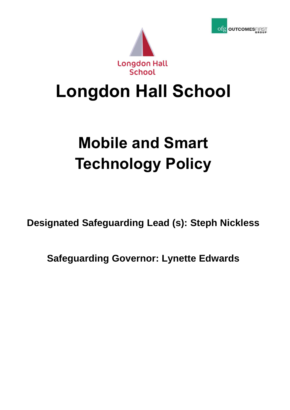



## **Longdon Hall School**

# **Mobile and Smart Technology Policy**

**Designated Safeguarding Lead (s): Steph Nickless**

**Safeguarding Governor: Lynette Edwards**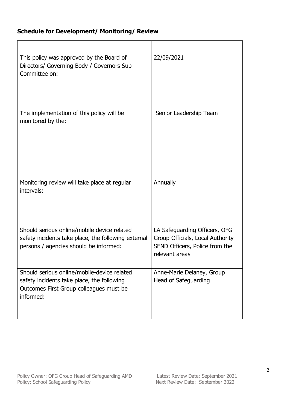### **Schedule for Development/ Monitoring/ Review**

| This policy was approved by the Board of<br>Directors/ Governing Body / Governors Sub<br>Committee on:                                            | 22/09/2021                                                                                                            |
|---------------------------------------------------------------------------------------------------------------------------------------------------|-----------------------------------------------------------------------------------------------------------------------|
| The implementation of this policy will be<br>monitored by the:                                                                                    | Senior Leadership Team                                                                                                |
| Monitoring review will take place at regular<br>intervals:                                                                                        | Annually                                                                                                              |
| Should serious online/mobile device related<br>safety incidents take place, the following external<br>persons / agencies should be informed:      | LA Safeguarding Officers, OFG<br>Group Officials, Local Authority<br>SEND Officers, Police from the<br>relevant areas |
| Should serious online/mobile-device related<br>safety incidents take place, the following<br>Outcomes First Group colleagues must be<br>informed: | Anne-Marie Delaney, Group<br>Head of Safeguarding                                                                     |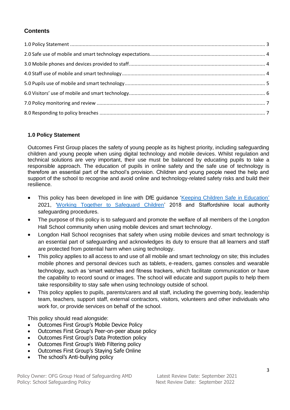### **Contents**

#### <span id="page-2-0"></span>**1.0 Policy Statement**

Outcomes First Group places the safety of young people as its highest priority, including safeguarding children and young people when using digital technology and mobile devices. Whilst regulation and technical solutions are very important, their use must be balanced by educating pupils to take a responsible approach. The education of pupils in online safety and the safe use of technology is therefore an essential part of the school's provision. Children and young people need the help and support of the school to recognise and avoid online and technology-related safety risks and build their resilience.

- This policy has been developed in line with DfE guidance ['Keeping Children Safe in Education'](https://www.gov.uk/government/publications/keeping-children-safe-in-education--2) 2021, ['Working Together to Safeguard Children'](https://www.gov.uk/government/publications/working-together-to-safeguard-children--2) 2018 and Staffordshire local authority safeguarding procedures.
- The purpose of this policy is to safeguard and promote the welfare of all members of the Longdon Hall School community when using mobile devices and smart technology.
- Longdon Hall School recognises that safety when using mobile devices and smart technology is an essential part of safeguarding and acknowledges its duty to ensure that all learners and staff are protected from potential harm when using technology.
- This policy applies to all access to and use of all mobile and smart technology on site; this includes mobile phones and personal devices such as tablets, e-readers, games consoles and wearable technology, such as 'smart watches and fitness trackers, which facilitate communication or have the capability to record sound or images. The school will educate and support pupils to help them take responsibility to stay safe when using technology outside of school.
- This policy applies to pupils, parents/carers and all staff, including the governing body, leadership team, teachers, support staff, external contractors, visitors, volunteers and other individuals who work for, or provide services on behalf of the school.

This policy should read alongside:

- Outcomes First Group's Mobile Device Policy
- Outcomes First Group's Peer-on-peer abuse policy
- Outcomes First Group's Data Protection policy
- Outcomes First Group's Web Filtering policy
- Outcomes First Group's Staying Safe Online
- The school's Anti-bullying policy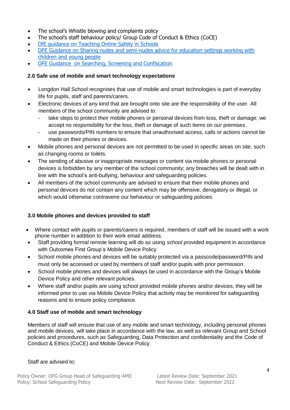- The school's Whistle blowing and complaints policy
- The school's staff behaviour policy/ Group Code of Conduct & Ethics (CoCE)
- [DfE guidance on Teaching Online Safety in Schools](https://assets.publishing.service.gov.uk/government/uploads/system/uploads/attachment_data/file/811796/Teaching_online_safety_in_school.pdf)
- [DFE Guidance on Sharing nudes and semi-nudes advice for education settings working with](https://www.gov.uk/government/publications/sharing-nudes-and-semi-nudes-advice-for-education-settings-working-with-children-and-young-people)  [children and young people](https://www.gov.uk/government/publications/sharing-nudes-and-semi-nudes-advice-for-education-settings-working-with-children-and-young-people)
- [DFE Guidance on Searching, Screening and Confiscation](https://www.gov.uk/government/publications/searching-screening-and-confiscation)

#### <span id="page-3-0"></span>**2.0 Safe use of mobile and smart technology expectations**

- Longdon Hall School recognises that use of mobile and smart technologies is part of everyday life for pupils, staff and parents/carers.
- Electronic devices of any kind that are brought onto site are the responsibility of the user. All members of the school community are advised to:
	- take steps to protect their mobile phones or personal devices from loss, theft or damage; we accept no responsibility for the loss, theft or damage of such items on our premises.
	- use passwords/PIN numbers to ensure that unauthorised access, calls or actions cannot be made on their phones or devices.
- Mobile phones and personal devices are not permitted to be used in specific areas on site, such as changing rooms or toilets.
- The sending of abusive or inappropriate messages or content via mobile phones or personal devices is forbidden by any member of the school community; any breaches will be dealt with in line with the school's anti-bullying, behaviour and safeguarding policies.
- All members of the school community are advised to ensure that their mobile phones and personal devices do not contain any content which may be offensive, derogatory or illegal, or which would otherwise contravene our behaviour or safeguarding policies.

#### <span id="page-3-1"></span>**3.0 Mobile phones and devices provided to staff**

- Where contact with pupils or parents/carers is required, members of staff will be issued with a work phone number in addition to their work email address.
- Staff providing formal remote learning will do so using *school* provided equipment in accordance with Outcomes First Group's Mobile Device Policy*.*
- School mobile phones and devices will be suitably protected via a passcode/password/PIN and must only be accessed or used by members of staff and/or pupils with prior permission.
- School mobile phones and devices will always be used in accordance with the Group's Mobile Device Policy and other relevant policies.
- Where staff and/or pupils are using school provided mobile phones and/or devices, they will be informed prior to use via Mobile Device Policy that activity may be monitored for safeguarding reasons and to ensure policy compliance.

#### <span id="page-3-2"></span>**4.0 Staff use of mobile and smart technology**

Members of staff will ensure that use of any mobile and smart technology, including personal phones and mobile devices, will take place in accordance with the law, as well as relevant Group and School policies and procedures, such as Safeguarding, Data Protection and confidentiality and the Code of Conduct & Ethics (CoCE) and Mobile Device Policy.

#### Staff are advised to: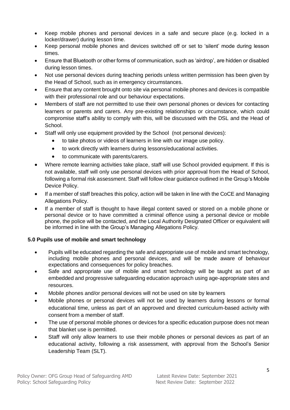- Keep mobile phones and personal devices in a safe and secure place (e.g. locked in a locker/drawer) during lesson time.
- Keep personal mobile phones and devices switched off or set to 'silent' mode during lesson times.
- Ensure that Bluetooth or other forms of communication, such as 'airdrop', are hidden or disabled during lesson times.
- Not use personal devices during teaching periods unless written permission has been given by the Head of School, such as in emergency circumstances.
- Ensure that any content brought onto site via personal mobile phones and devices is compatible with their professional role and our behaviour expectations.
- Members of staff are not permitted to use their own personal phones or devices for contacting learners or parents and carers. Any pre-existing relationships or circumstance, which could compromise staff's ability to comply with this, will be discussed with the DSL and the Head of School.
- Staff will only use equipment provided by the School (not personal devices):
	- to take photos or videos of learners in line with our image use policy.
	- to work directly with learners during lessons/educational activities.
	- to communicate with parents/carers.
- Where remote learning activities take place, staff will use School provided equipment. If this is not available, staff will only use personal devices with prior approval from the Head of School, following a formal risk assessment. Staff will follow clear guidance outlined in the Group's Mobile Device Policy.
- If a member of staff breaches this policy, action will be taken in line with the CoCE and Managing Allegations Policy.
- If a member of staff is thought to have illegal content saved or stored on a mobile phone or personal device or to have committed a criminal offence using a personal device or mobile phone, the police will be contacted, and the Local Authority Designated Officer or equivalent will be informed in line with the Group's Managing Allegations Policy.

#### <span id="page-4-0"></span>**5.0 Pupils use of mobile and smart technology**

- Pupils will be educated regarding the safe and appropriate use of mobile and smart technology, including mobile phones and personal devices, and will be made aware of behaviour expectations and consequences for policy breaches.
- Safe and appropriate use of mobile and smart technology will be taught as part of an embedded and progressive safeguarding education approach using age-appropriate sites and resources.
- Mobile phones and/or personal devices will not be used on site by learners
- Mobile phones or personal devices will not be used by learners during lessons or formal educational time, unless as part of an approved and directed curriculum-based activity with consent from a member of staff.
- The use of personal mobile phones or devices for a specific education purpose does not mean that blanket use is permitted.
- Staff will only allow learners to use their mobile phones or personal devices as part of an educational activity, following a risk assessment, with approval from the School's Senior Leadership Team (SLT).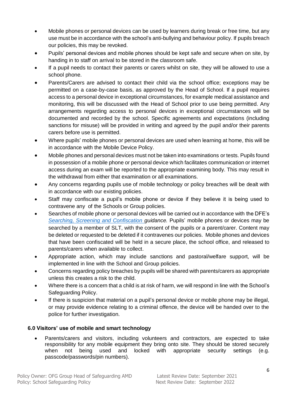- Mobile phones or personal devices can be used by learners during break or free time, but any use must be in accordance with the school's anti-bullying and behaviour policy. If pupils breach our policies, this may be revoked.
- Pupils' personal devices and mobile phones should be kept safe and secure when on site, by handing in to staff on arrival to be stored in the classroom safe.
- If a pupil needs to contact their parents or carers whilst on site, they will be allowed to use a school phone.
- Parents/Carers are advised to contact their child via the school office; exceptions may be permitted on a case-by-case basis, as approved by the Head of School. If a pupil requires access to a personal device in exceptional circumstances, for example medical assistance and monitoring, this will be discussed with the Head of School prior to use being permitted. Any arrangements regarding access to personal devices in exceptional circumstances will be documented and recorded by the school. Specific agreements and expectations (including sanctions for misuse) will be provided in writing and agreed by the pupil and/or their parents carers before use is permitted.
- Where pupils' mobile phones or personal devices are used when learning at home, this will be in accordance with the Mobile Device Policy.
- Mobile phones and personal devices must not be taken into examinations or tests. Pupils found in possession of a mobile phone or personal device which facilitates communication or internet access during an exam will be reported to the appropriate examining body. This may result in the withdrawal from either that examination or all examinations.
- Any concerns regarding pupils use of mobile technology or policy breaches will be dealt with in accordance with our existing policies.
- Staff may confiscate a pupil's mobile phone or device if they believe it is being used to contravene any of the Schools or Group policies.
- Searches of mobile phone or personal devices will be carried out in accordance with the DFE's *[Searching, Screening and Confiscation](http://www.gov.uk/government/publications/searching-screening-and-confiscation) guidance.* Pupils' mobile phones or devices may be searched by a member of SLT, with the consent of the pupils or a parent/carer. Content may be deleted or requested to be deleted if it contravenes our policies. Mobile phones and devices that have been confiscated will be held in a secure place, the school office, and released to parents/carers when available to collect.
- Appropriate action, which may include sanctions and pastoral/welfare support, will be implemented in line with the School and Group policies.
- Concerns regarding policy breaches by pupils will be shared with parents/carers as appropriate unless this creates a risk to the child.
- Where there is a concern that a child is at risk of harm, we will respond in line with the School's Safeguarding Policy.
- If there is suspicion that material on a pupil's personal device or mobile phone may be illegal, or may provide evidence relating to a criminal offence, the device will be handed over to the police for further investigation.

#### <span id="page-5-0"></span>**6.0 Visitors' use of mobile and smart technology**

 Parents/carers and visitors, including volunteers and contractors, are expected to take responsibility for any mobile equipment they bring onto site. They should be stored securely when not being used and locked with appropriate security settings (e.g. passcode/passwords/pin numbers).